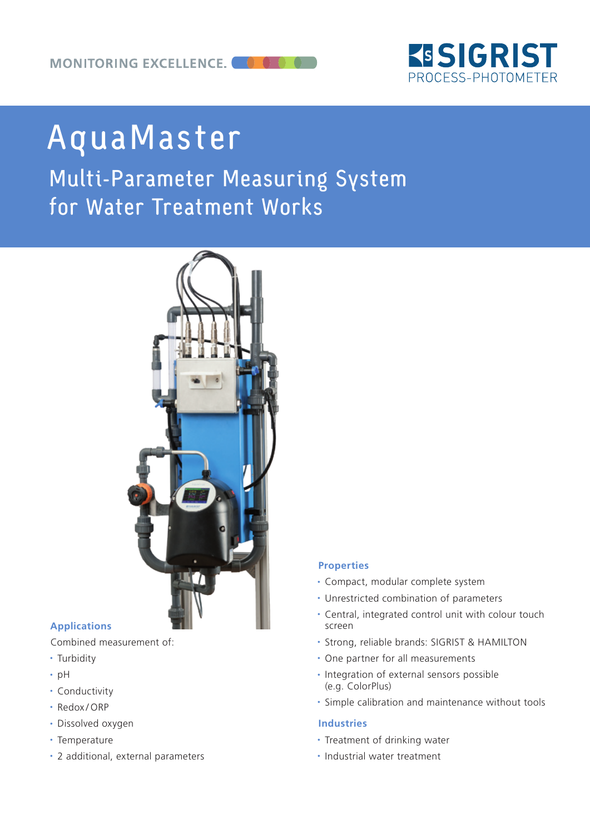

# AquaMaster

## Multi-Parameter Measuring System for Water Treatment Works



#### **Applications**

Combined measurement of:

- Turbidity
- $\cdot$  pH
- Conductivity
- Redox/ORP
- Dissolved oxygen
- Temperature
- 2 additional, external parameters

#### **Properties**

- Compact, modular complete system
- Unrestricted combination of parameters
- Central, integrated control unit with colour touch screen
- <sup>y</sup> Strong, reliable brands: SIGRIST & HAMILTON
- One partner for all measurements
- Integration of external sensors possible (e.g. ColorPlus)
- Simple calibration and maintenance without tools

#### **Industries**

- Treatment of drinking water
- Industrial water treatment